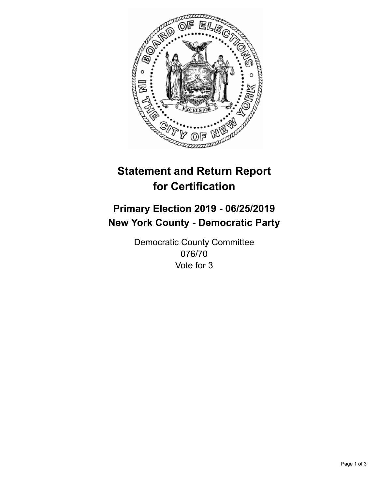

## **Statement and Return Report for Certification**

## **Primary Election 2019 - 06/25/2019 New York County - Democratic Party**

Democratic County Committee 076/70 Vote for 3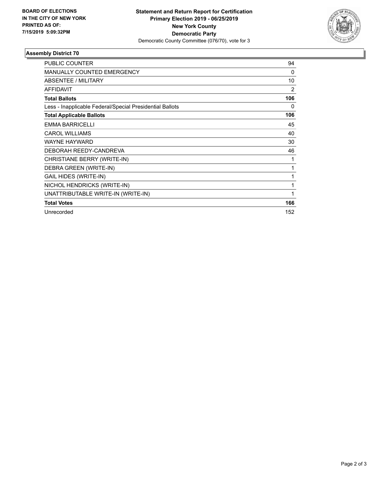

## **Assembly District 70**

| <b>PUBLIC COUNTER</b>                                    | 94  |
|----------------------------------------------------------|-----|
| <b>MANUALLY COUNTED EMERGENCY</b>                        | 0   |
| ABSENTEE / MILITARY                                      | 10  |
| <b>AFFIDAVIT</b>                                         | 2   |
| <b>Total Ballots</b>                                     | 106 |
| Less - Inapplicable Federal/Special Presidential Ballots | 0   |
| <b>Total Applicable Ballots</b>                          | 106 |
| <b>EMMA BARRICELLI</b>                                   | 45  |
| <b>CAROL WILLIAMS</b>                                    | 40  |
| <b>WAYNE HAYWARD</b>                                     | 30  |
| DEBORAH REEDY-CANDREVA                                   | 46  |
| CHRISTIANE BERRY (WRITE-IN)                              | 1   |
| DEBRA GREEN (WRITE-IN)                                   |     |
| <b>GAIL HIDES (WRITE-IN)</b>                             | 1   |
| NICHOL HENDRICKS (WRITE-IN)                              | 1   |
| UNATTRIBUTABLE WRITE-IN (WRITE-IN)                       | 1   |
| <b>Total Votes</b>                                       | 166 |
| Unrecorded                                               | 152 |